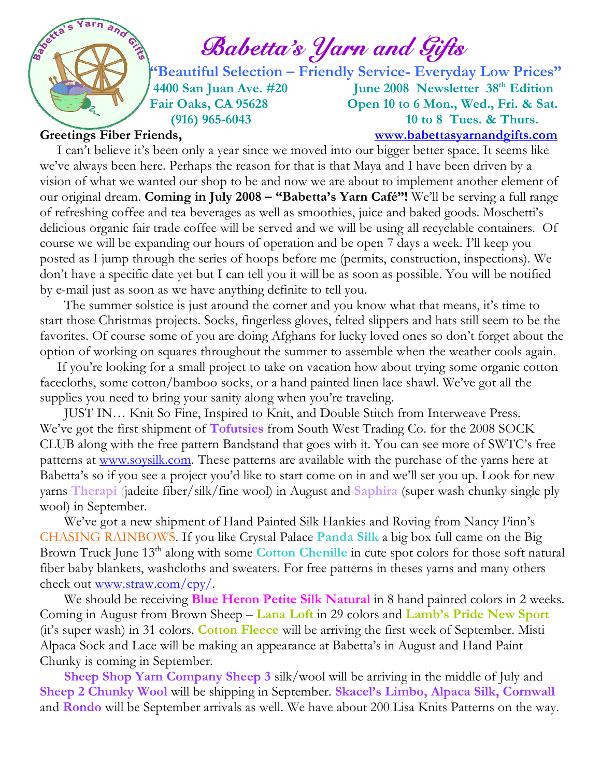

# $\int_{a}^{\infty}$   $\int_{a}^{\infty}$   $\int_{a}^{\infty}$   $\int_{a}^{\infty}$   $\int_{a}^{\infty}$   $\int_{a}^{\infty}$   $\int_{a}^{\infty}$   $\int_{a}^{\infty}$   $\int_{a}^{\infty}$   $\int_{a}^{\infty}$   $\int_{a}^{\infty}$   $\int_{a}^{\infty}$   $\int_{a}^{\infty}$   $\int_{a}^{\infty}$   $\int_{a}^{\infty}$   $\int_{a}^{\infty}$   $\int_{a}^{\infty}$

 "Beautiful Selection – Friendly Service- Everyday Low Prices" 4400 San Juan Ave. #20 June 2008 Newsletter 38<sup>th</sup> Edition Fair Oaks, CA 95628 Open 10 to 6 Mon., Wed., Fri. & Sat. (916) 965-6043 10 to 8 Tues. & Thurs.

Greetings Fiber Friends, www.babettasyarnandgifts.com

 I can't believe it's been only a year since we moved into our bigger better space. It seems like we've always been here. Perhaps the reason for that is that Maya and I have been driven by a vision of what we wanted our shop to be and now we are about to implement another element of our original dream. Coming in July 2008 – "Babetta's Yarn Café"! We'll be serving a full range of refreshing coffee and tea beverages as well as smoothies, juice and baked goods. Moschetti's delicious organic fair trade coffee will be served and we will be using all recyclable containers. Of course we will be expanding our hours of operation and be open 7 days a week. I'll keep you posted as I jump through the series of hoops before me (permits, construction, inspections). We don't have a specific date yet but I can tell you it will be as soon as possible. You will be notified by e-mail just as soon as we have anything definite to tell you.

 The summer solstice is just around the corner and you know what that means, it's time to start those Christmas projects. Socks, fingerless gloves, felted slippers and hats still seem to be the favorites. Of course some of you are doing Afghans for lucky loved ones so don't forget about the option of working on squares throughout the summer to assemble when the weather cools again.

 If you're looking for a small project to take on vacation how about trying some organic cotton facecloths, some cotton/bamboo socks, or a hand painted linen lace shawl. We've got all the supplies you need to bring your sanity along when you're traveling.

 JUST IN… Knit So Fine, Inspired to Knit, and Double Stitch from Interweave Press. We've got the first shipment of **Tofutsies** from South West Trading Co. for the 2008 SOCK CLUB along with the free pattern Bandstand that goes with it. You can see more of SWTC's free patterns at <u>www.soysilk.com</u>. These patterns are available with the purchase of the yarns here at Babetta's so if you see a project you'd like to start come on in and we'll set you up. Look for new yarns Therapi (jadeite fiber/silk/fine wool) in August and Saphira (super wash chunky single ply wool) in September.

 We've got a new shipment of Hand Painted Silk Hankies and Roving from Nancy Finn's CHASING RAINBOWS. If you like Crystal Palace Panda Silk a big box full came on the Big Brown Truck June 13<sup>th</sup> along with some **Cotton Chenille** in cute spot colors for those soft natural fiber baby blankets, washcloths and sweaters. For free patterns in theses yarns and many others check out www.straw.com/cpy/.

We should be receiving **Blue Heron Petite Silk Natural** in 8 hand painted colors in 2 weeks. Coming in August from Brown Sheep – Lana Loft in 29 colors and Lamb's Pride New Sport (it's super wash) in 31 colors. Cotton Fleece will be arriving the first week of September. Misti Alpaca Sock and Lace will be making an appearance at Babetta's in August and Hand Paint Chunky is coming in September.

 Sheep Shop Yarn Company Sheep 3 silk/wool will be arriving in the middle of July and Sheep 2 Chunky Wool will be shipping in September. Skacel's Limbo, Alpaca Silk, Cornwall and Rondo will be September arrivals as well. We have about 200 Lisa Knits Patterns on the way.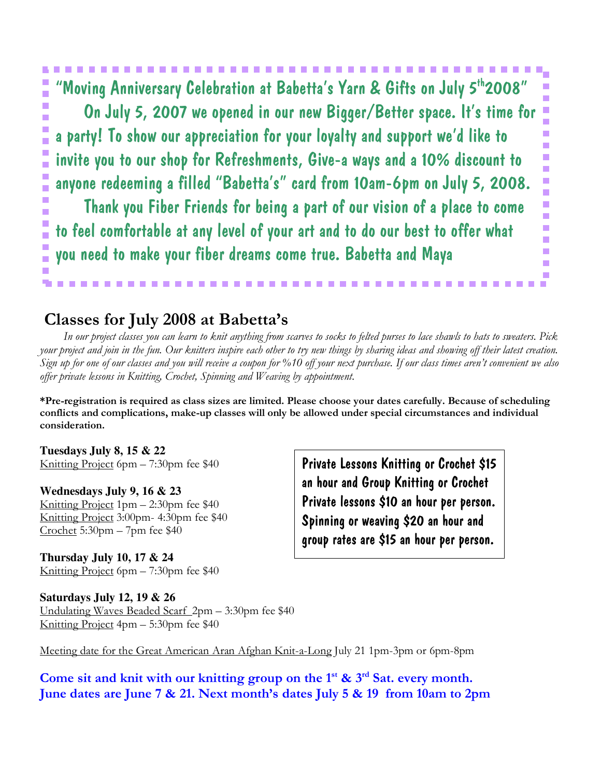'Moving Anniversary Celebration at Babetta's Yarn & Gifts on July 5<sup>th</sup>2008" г Ē, × Ō, On July 5, 2007 we opened in our new Bigger/Better space. It's time for r. п a party! To show our appreciation for your loyalty and support we'd like to  $\mathcal{L}_{\mathcal{A}}$ r Ē. invite you to our shop for Refreshments, Give-a ways and a 10% discount to a. г × anyone redeeming a filled "Babetta's" card from 10am-6pm on July 5, 2008. × г × F Thank you Fiber Friends for being a part of our vision of a place to come a. г Ē. to feel comfortable at any level of your art and to do our best to offer what × п F you need to make your fiber dreams come true. Babetta and Maya  $\mathcal{L}_{\mathcal{A}}$ J. ×

### Classes for July 2008 at Babetta's

 In our project classes you can learn to knit anything from scarves to socks to felted purses to lace shawls to hats to sweaters. Pick your project and join in the fun. Our knitters inspire each other to try new things by sharing ideas and showing off their latest creation. Sign up for one of our classes and you will receive a coupon for %10 off your next purchase. If our class times aren't convenient we also offer private lessons in Knitting, Crochet, Spinning and Weaving by appointment.

\*Pre-registration is required as class sizes are limited. Please choose your dates carefully. Because of scheduling conflicts and complications, make-up classes will only be allowed under special circumstances and individual consideration.

**Tuesdays July 8, 15 & 22**  Knitting Project 6pm – 7:30pm fee \$40

**Wednesdays July 9, 16 & 23**  Knitting Project 1pm – 2:30pm fee \$40 Knitting Project 3:00pm- 4:30pm fee \$40  $Crochet$  5:30pm  $-7$ pm fee \$40

**Thursday July 10, 17 & 24**  Knitting Project 6pm – 7:30pm fee \$40

**Saturdays July 12, 19 & 26**  Undulating Waves Beaded Scarf 2pm – 3:30pm fee \$40 Knitting Project 4pm – 5:30pm fee \$40

Meeting date for the Great American Aran Afghan Knit-a-Long July 21 1pm-3pm or 6pm-8pm

Come sit and knit with our knitting group on the  $1<sup>st</sup>$  &  $3<sup>rd</sup>$  Sat. every month. June dates are June 7 & 21. Next month's dates July 5 & 19 from 10am to 2pm

Private Lessons Knitting or Crochet \$15 an hour and Group Knitting or Crochet Private lessons \$10 an hour per person. Spinning or weaving \$20 an hour and group rates are \$15 an hour per person.

г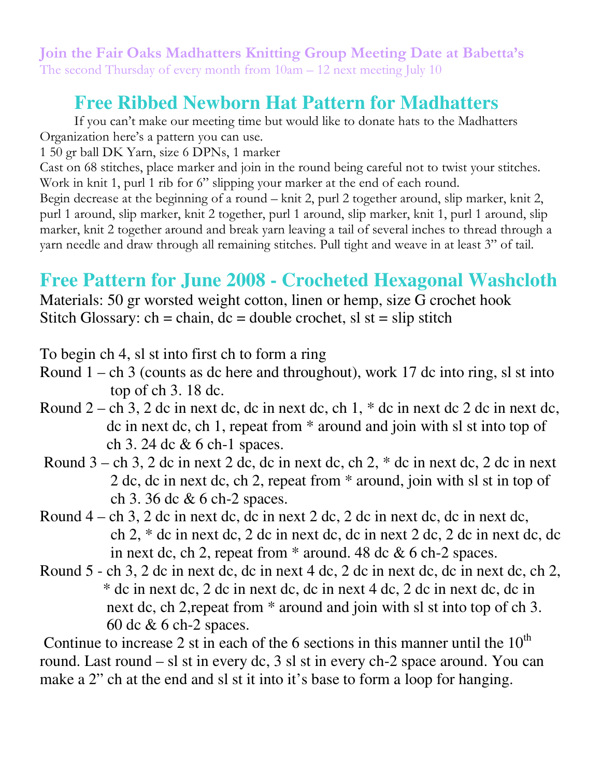Join the Fair Oaks Madhatters Knitting Group Meeting Date at Babetta's The second Thursday of every month from 10am – 12 next meeting July 10

# **Free Ribbed Newborn Hat Pattern for Madhatters**

 If you can't make our meeting time but would like to donate hats to the Madhatters Organization here's a pattern you can use.

1 50 gr ball DK Yarn, size 6 DPNs, 1 marker

Cast on 68 stitches, place marker and join in the round being careful not to twist your stitches. Work in knit 1, purl 1 rib for 6" slipping your marker at the end of each round.

Begin decrease at the beginning of a round – knit 2, purl 2 together around, slip marker, knit 2, purl 1 around, slip marker, knit 2 together, purl 1 around, slip marker, knit 1, purl 1 around, slip marker, knit 2 together around and break yarn leaving a tail of several inches to thread through a yarn needle and draw through all remaining stitches. Pull tight and weave in at least 3" of tail.

## **Free Pattern for June 2008 - Crocheted Hexagonal Washcloth**

Materials: 50 gr worsted weight cotton, linen or hemp, size G crochet hook Stitch Glossary: ch = chain,  $dc = double\,c, sl$  st = slip stitch

To begin ch 4, sl st into first ch to form a ring

- Round  $1 ch$  3 (counts as dc here and throughout), work 17 dc into ring, sl st into top of ch 3. 18 dc.
- Round  $2$  ch 3, 2 dc in next dc, dc in next dc, ch 1,  $*$  dc in next dc 2 dc in next dc, dc in next dc, ch 1, repeat from \* around and join with sl st into top of ch 3. 24 dc & 6 ch-1 spaces.
- Round  $3 ch$  3, 2 dc in next 2 dc, dc in next dc, ch 2,  $*$  dc in next dc, 2 dc in next 2 dc, dc in next dc, ch 2, repeat from \* around, join with sl st in top of ch 3. 36 dc & 6 ch-2 spaces.
- Round  $4$  ch 3, 2 dc in next dc, dc in next 2 dc, 2 dc in next dc, dc in next dc, ch 2, \* dc in next dc, 2 dc in next dc, dc in next 2 dc, 2 dc in next dc, dc in next dc, ch 2, repeat from  $*$  around. 48 dc  $& 6$  ch-2 spaces.
- Round 5 ch 3, 2 dc in next dc, dc in next 4 dc, 2 dc in next dc, dc in next dc, ch 2, \* dc in next dc, 2 dc in next dc, dc in next 4 dc, 2 dc in next dc, dc in next dc, ch 2,repeat from \* around and join with sl st into top of ch 3. 60 dc & 6 ch-2 spaces.

Continue to increase 2 st in each of the 6 sections in this manner until the  $10^{th}$ round. Last round – sl st in every dc, 3 sl st in every ch-2 space around. You can make a 2" ch at the end and sl st it into it's base to form a loop for hanging.